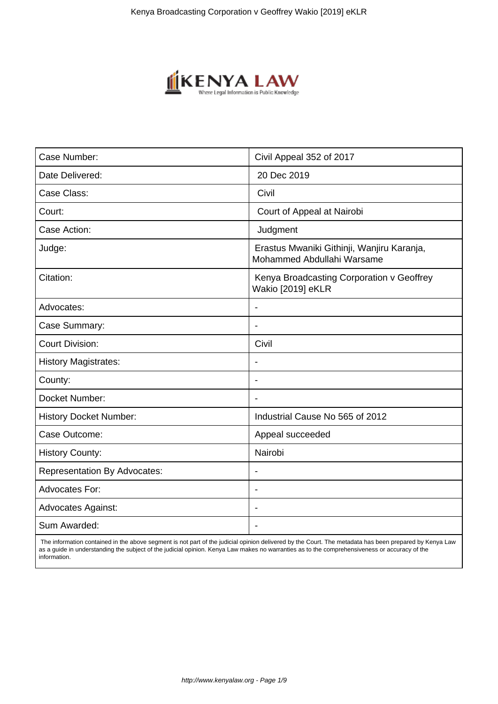

| Case Number:                        | Civil Appeal 352 of 2017                                                 |
|-------------------------------------|--------------------------------------------------------------------------|
| Date Delivered:                     | 20 Dec 2019                                                              |
| Case Class:                         | Civil                                                                    |
| Court:                              | Court of Appeal at Nairobi                                               |
| Case Action:                        | Judgment                                                                 |
| Judge:                              | Erastus Mwaniki Githinji, Wanjiru Karanja,<br>Mohammed Abdullahi Warsame |
| Citation:                           | Kenya Broadcasting Corporation v Geoffrey<br>Wakio [2019] eKLR           |
| Advocates:                          |                                                                          |
| Case Summary:                       | $\blacksquare$                                                           |
| <b>Court Division:</b>              | Civil                                                                    |
| <b>History Magistrates:</b>         |                                                                          |
| County:                             |                                                                          |
| Docket Number:                      | $\overline{\phantom{a}}$                                                 |
| <b>History Docket Number:</b>       | Industrial Cause No 565 of 2012                                          |
| Case Outcome:                       | Appeal succeeded                                                         |
| <b>History County:</b>              | Nairobi                                                                  |
| <b>Representation By Advocates:</b> | $\overline{\phantom{a}}$                                                 |
| Advocates For:                      | $\blacksquare$                                                           |
| <b>Advocates Against:</b>           |                                                                          |
| Sum Awarded:                        | $\overline{\phantom{a}}$                                                 |
|                                     |                                                                          |

 The information contained in the above segment is not part of the judicial opinion delivered by the Court. The metadata has been prepared by Kenya Law as a guide in understanding the subject of the judicial opinion. Kenya Law makes no warranties as to the comprehensiveness or accuracy of the information.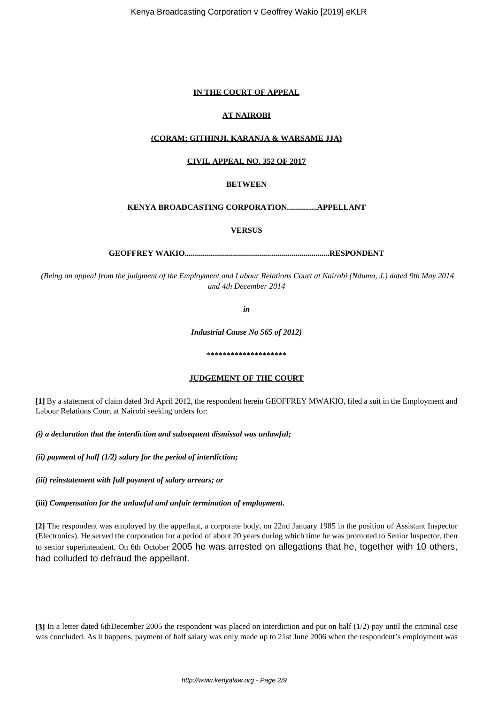## **IN THE COURT OF APPEAL**

## **AT NAIROBI**

#### **(CORAM: GITHINJI, KARANJA & WARSAME JJA)**

## **CIVIL APPEAL NO. 352 OF 2017**

## **BETWEEN**

# **KENYA BROADCASTING CORPORATION...............APPELLANT**

**VERSUS**

**GEOFFREY WAKIO........................................................................RESPONDENT**

*(Being an appeal from the judgment of the Employment and Labour Relations Court at Nairobi (Nduma, J.) dated 9th May 2014 and 4th December 2014*

*in*

*Industrial Cause No 565 of 2012)*

**\*\*\*\*\*\*\*\*\*\*\*\*\*\*\*\*\*\*\*\***

# **JUDGEMENT OF THE COURT**

**[1]** By a statement of claim dated 3rd April 2012, the respondent herein GEOFFREY MWAKIO, filed a suit in the Employment and Labour Relations Court at Nairobi seeking orders for:

*(i) a declaration that the interdiction and subsequent dismissal was unlawful;*

*(ii) payment of half (1/2) salary for the period of interdiction;*

*(iii) reinstatement with full payment of salary arrears; or*

**(iii)** *Compensation for the unlawful and unfair termination of employment***.**

**[2]** The respondent was employed by the appellant, a corporate body, on 22nd January 1985 in the position of Assistant Inspector (Electronics). He served the corporation for a period of about 20 years during which time he was promoted to Senior Inspector, then to senior superintendent. On 6th October 2005 he was arrested on allegations that he, together with 10 others, had colluded to defraud the appellant.

**[3]** In a letter dated 6thDecember 2005 the respondent was placed on interdiction and put on half (1/2) pay until the criminal case was concluded. As it happens, payment of half salary was only made up to 21st June 2006 when the respondent's employment was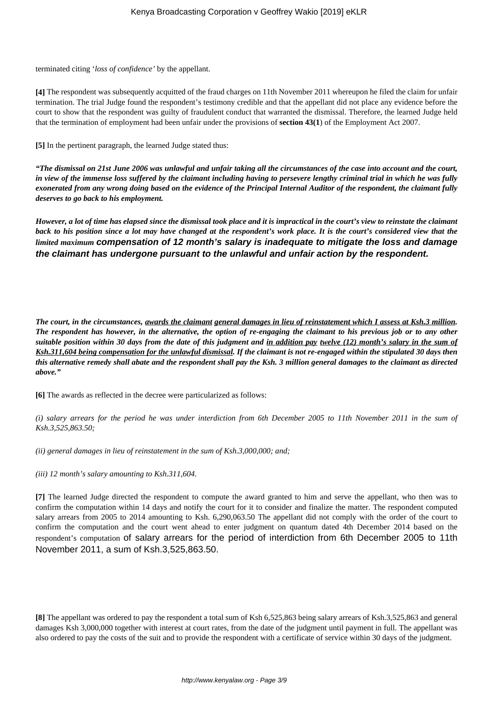terminated citing '*loss of confidence'* by the appellant.

**[4]** The respondent was subsequently acquitted of the fraud charges on 11th November 2011 whereupon he filed the claim for unfair termination. The trial Judge found the respondent's testimony credible and that the appellant did not place any evidence before the court to show that the respondent was guilty of fraudulent conduct that warranted the dismissal. Therefore, the learned Judge held that the termination of employment had been unfair under the provisions of **section 43(1**) of the Employment Act 2007.

**[5]** In the pertinent paragraph, the learned Judge stated thus:

*"The dismissal on 21st June 2006 was unlawful and unfair taking all the circumstances of the case into account and the court, in view of the immense loss suffered by the claimant including having to persevere lengthy criminal trial in which he was fully exonerated from any wrong doing based on the evidence of the Principal Internal Auditor of the respondent, the claimant fully deserves to go back to his employment.*

*However, a lot of time has elapsed since the dismissal took place and it is impractical in the court's view to reinstate the claimant back to his position since a lot may have changed at the respondent's work place. It is the court's considered view that the limited maximum* **compensation of 12 month's salary is inadequate to mitigate the loss and damage the claimant has undergone pursuant to the unlawful and unfair action by the respondent.**

*The court, in the circumstances, awards the claimant general damages in lieu of reinstatement which I assess at Ksh.3 million. The respondent has however, in the alternative, the option of re-engaging the claimant to his previous job or to any other suitable position within 30 days from the date of this judgment and in addition pay twelve (12) month's salary in the sum of Ksh.311,604 being compensation for the unlawful dismissal. If the claimant is not re-engaged within the stipulated 30 days then this alternative remedy shall abate and the respondent shall pay the Ksh. 3 million general damages to the claimant as directed above."*

**[6]** The awards as reflected in the decree were particularized as follows:

*(i) salary arrears for the period he was under interdiction from 6th December 2005 to 11th November 2011 in the sum of Ksh.3,525,863.50;*

*(ii) general damages in lieu of reinstatement in the sum of Ksh.3,000,000; and;*

*(iii) 12 month's salary amounting to Ksh.311,604.*

**[7]** The learned Judge directed the respondent to compute the award granted to him and serve the appellant, who then was to confirm the computation within 14 days and notify the court for it to consider and finalize the matter. The respondent computed salary arrears from 2005 to 2014 amounting to Ksh. 6,290,063.50 The appellant did not comply with the order of the court to confirm the computation and the court went ahead to enter judgment on quantum dated 4th December 2014 based on the respondent's computation of salary arrears for the period of interdiction from 6th December 2005 to 11th November 2011, a sum of Ksh.3,525,863.50.

**[8]** The appellant was ordered to pay the respondent a total sum of Ksh 6,525,863 being salary arrears of Ksh.3,525,863 and general damages Ksh 3,000,000 together with interest at court rates, from the date of the judgment until payment in full. The appellant was also ordered to pay the costs of the suit and to provide the respondent with a certificate of service within 30 days of the judgment.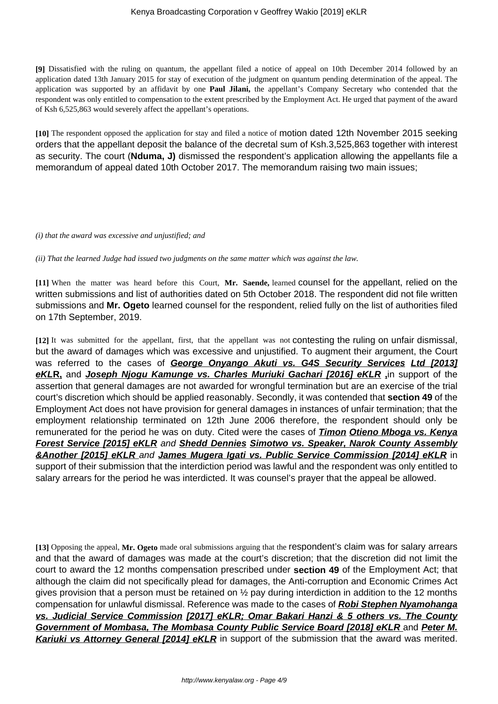**[9]** Dissatisfied with the ruling on quantum, the appellant filed a notice of appeal on 10th December 2014 followed by an application dated 13th January 2015 for stay of execution of the judgment on quantum pending determination of the appeal. The application was supported by an affidavit by one **Paul Jilani,** the appellant's Company Secretary who contended that the respondent was only entitled to compensation to the extent prescribed by the Employment Act. He urged that payment of the award of Ksh 6,525,863 would severely affect the appellant's operations.

**[10]** The respondent opposed the application for stay and filed a notice of motion dated 12th November 2015 seeking orders that the appellant deposit the balance of the decretal sum of Ksh.3,525,863 together with interest as security. The court (**Nduma, J)** dismissed the respondent's application allowing the appellants file a memorandum of appeal dated 10th October 2017. The memorandum raising two main issues;

*(i) that the award was excessive and unjustified; and*

*(ii) That the learned Judge had issued two judgments on the same matter which was against the law.*

**[11]** When the matter was heard before this Court, **Mr. Saende,** learned counsel for the appellant, relied on the written submissions and list of authorities dated on 5th October 2018. The respondent did not file written submissions and **Mr. Ogeto** learned counsel for the respondent, relied fully on the list of authorities filed on 17th September, 2019.

**[12]** It was submitted for the appellant, first, that the appellant was not contesting the ruling on unfair dismissal, but the award of damages which was excessive and unjustified. To augment their argument, the Court was referred to the cases of **George Onyango Akuti vs. G4S Security Services Ltd [2013] eKLR,** and **Joseph Njogu Kamunge vs. Charles Muriuki Gachari [2016] eKLR ,**in support of the assertion that general damages are not awarded for wrongful termination but are an exercise of the trial court's discretion which should be applied reasonably. Secondly, it was contended that **section 49** of the Employment Act does not have provision for general damages in instances of unfair termination; that the employment relationship terminated on 12th June 2006 therefore, the respondent should only be remunerated for the period he was on duty. Cited were the cases of **Timon Otieno Mboga vs. Kenya Forest Service [2015] eKLR** and **Shedd Dennies Simotwo vs. Speaker, Narok County Assembly &Another [2015] eKLR** and **James Mugera Igati vs. Public Service Commission [2014] eKLR** in support of their submission that the interdiction period was lawful and the respondent was only entitled to salary arrears for the period he was interdicted. It was counsel's prayer that the appeal be allowed.

**[13]** Opposing the appeal, **Mr. Ogeto** made oral submissions arguing that the respondent's claim was for salary arrears and that the award of damages was made at the court's discretion; that the discretion did not limit the court to award the 12 months compensation prescribed under **section 49** of the Employment Act; that although the claim did not specifically plead for damages, the Anti-corruption and Economic Crimes Act gives provision that a person must be retained on ½ pay during interdiction in addition to the 12 months compensation for unlawful dismissal. Reference was made to the cases of **Robi Stephen Nyamohanga vs. Judicial Service Commission [2017] eKLR; Omar Bakari Hanzi & 5 others vs. The County Government of Mombasa, The Mombasa County Public Service Board [2018] eKLR** and **Peter M. Kariuki vs Attorney General [2014] eKLR** in support of the submission that the award was merited.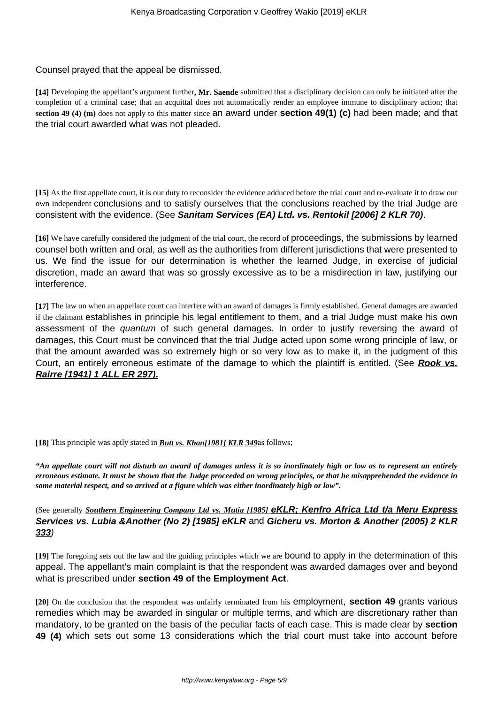Counsel prayed that the appeal be dismissed.

**[14]** Developing the appellant's argument further**, Mr. Saende** submitted that a disciplinary decision can only be initiated after the completion of a criminal case; that an acquittal does not automatically render an employee immune to disciplinary action; that **section 49 (4) (m)** does not apply to this matter since an award under **section 49(1) (c)** had been made; and that the trial court awarded what was not pleaded.

**[15]** As the first appellate court, it is our duty to reconsider the evidence adduced before the trial court and re-evaluate it to draw our own independent conclusions and to satisfy ourselves that the conclusions reached by the trial Judge are consistent with the evidence. (See **Sanitam Services (EA) Ltd. vs. Rentokil [2006] 2 KLR 70)**.

**[16]** We have carefully considered the judgment of the trial court, the record of proceedings, the submissions by learned counsel both written and oral, as well as the authorities from different jurisdictions that were presented to us. We find the issue for our determination is whether the learned Judge, in exercise of judicial discretion, made an award that was so grossly excessive as to be a misdirection in law, justifying our interference.

**[17]** The law on when an appellate court can interfere with an award of damages is firmly established. General damages are awarded if the claimant establishes in principle his legal entitlement to them, and a trial Judge must make his own assessment of the quantum of such general damages. In order to justify reversing the award of damages, this Court must be convinced that the trial Judge acted upon some wrong principle of law, or that the amount awarded was so extremely high or so very low as to make it, in the judgment of this Court, an entirely erroneous estimate of the damage to which the plaintiff is entitled. (See **Rook vs. Rairre [1941] 1 ALL ER 297).**

**[18]** This principle was aptly stated in *Butt vs. Khan[1981] KLR 349*as follows;

*"An appellate court will not disturb an award of damages unless it is so inordinately high or low as to represent an entirely erroneous estimate. It must be shown that the Judge proceeded on wrong principles, or that he misapprehended the evidence in some material respect, and so arrived at a figure which was either inordinately high or low".*

(See generally *Southern Engineering Company Ltd vs. Mutia [1985]* **eKLR; Kenfro Africa Ltd t/a Meru Express Services vs. Lubia &Another (No 2) [1985] eKLR** and **Gicheru vs. Morton & Another (2005) 2 KLR 333**)

**[19]** The foregoing sets out the law and the guiding principles which we are bound to apply in the determination of this appeal. The appellant's main complaint is that the respondent was awarded damages over and beyond what is prescribed under **section 49 of the Employment Act**.

**[20]** On the conclusion that the respondent was unfairly terminated from his employment, **section 49** grants various remedies which may be awarded in singular or multiple terms, and which are discretionary rather than mandatory, to be granted on the basis of the peculiar facts of each case. This is made clear by **section 49 (4)** which sets out some 13 considerations which the trial court must take into account before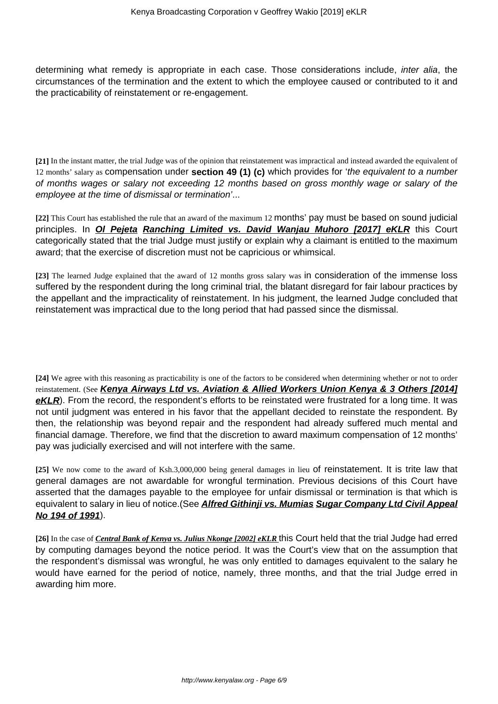determining what remedy is appropriate in each case. Those considerations include, *inter alia*, the circumstances of the termination and the extent to which the employee caused or contributed to it and the practicability of reinstatement or re-engagement.

**[21]** In the instant matter, the trial Judge was of the opinion that reinstatement was impractical and instead awarded the equivalent of 12 months' salary as compensation under **section 49 (1) (c)** which provides for 'the equivalent to a number of months wages or salary not exceeding 12 months based on gross monthly wage or salary of the employee at the time of dismissal or termination'...

**[22]** This Court has established the rule that an award of the maximum 12 months' pay must be based on sound judicial principles. In **Ol Pejeta Ranching Limited vs. David Wanjau Muhoro [2017] eKLR** this Court categorically stated that the trial Judge must justify or explain why a claimant is entitled to the maximum award; that the exercise of discretion must not be capricious or whimsical.

**[23]** The learned Judge explained that the award of 12 months gross salary was in consideration of the immense loss suffered by the respondent during the long criminal trial, the blatant disregard for fair labour practices by the appellant and the impracticality of reinstatement. In his judgment, the learned Judge concluded that reinstatement was impractical due to the long period that had passed since the dismissal.

**[24]** We agree with this reasoning as practicability is one of the factors to be considered when determining whether or not to order reinstatement. (See **Kenya Airways Ltd vs. Aviation & Allied Workers Union Kenya & 3 Others [2014] eKLR**). From the record, the respondent's efforts to be reinstated were frustrated for a long time. It was not until judgment was entered in his favor that the appellant decided to reinstate the respondent. By then, the relationship was beyond repair and the respondent had already suffered much mental and financial damage. Therefore, we find that the discretion to award maximum compensation of 12 months' pay was judicially exercised and will not interfere with the same.

**[25]** We now come to the award of Ksh.3,000,000 being general damages in lieu of reinstatement. It is trite law that general damages are not awardable for wrongful termination. Previous decisions of this Court have asserted that the damages payable to the employee for unfair dismissal or termination is that which is equivalent to salary in lieu of notice.(See **Alfred Githinji vs. Mumias Sugar Company Ltd Civil Appeal No 194 of 1991**).

**[26]** In the case of *Central Bank of Kenya vs. Julius Nkonge [2002] eKLR* this Court held that the trial Judge had erred by computing damages beyond the notice period. It was the Court's view that on the assumption that the respondent's dismissal was wrongful, he was only entitled to damages equivalent to the salary he would have earned for the period of notice, namely, three months, and that the trial Judge erred in awarding him more.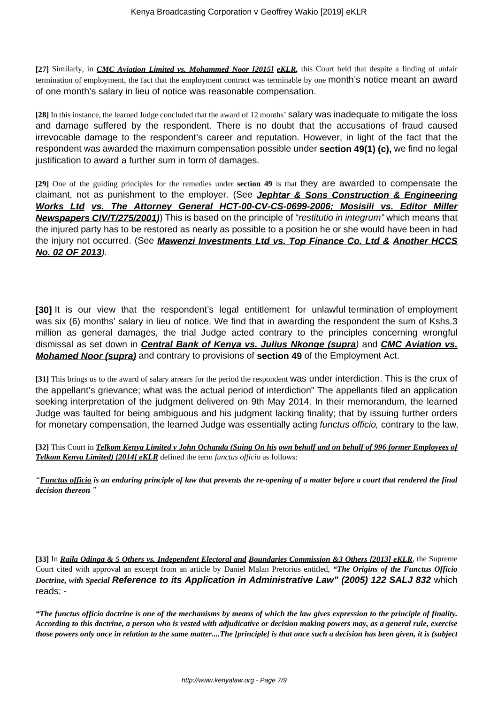**[27]** Similarly, in *CMC Aviation Limited vs. Mohammed Noor [2015] eKLR,* this Court held that despite a finding of unfair termination of employment, the fact that the employment contract was terminable by one month's notice meant an award of one month's salary in lieu of notice was reasonable compensation.

**[28]** In this instance, the learned Judge concluded that the award of 12 months' salary was inadequate to mitigate the loss and damage suffered by the respondent. There is no doubt that the accusations of fraud caused irrevocable damage to the respondent's career and reputation. However, in light of the fact that the respondent was awarded the maximum compensation possible under **section 49(1) (c),** we find no legal justification to award a further sum in form of damages.

**[29]** One of the guiding principles for the remedies under **section 49** is that they are awarded to compensate the claimant, not as punishment to the employer. (See **Jephtar & Sons Construction & Engineering Works Ltd vs. The Attorney General HCT-00-CV-CS-0699-2006; Mosisili vs. Editor Miller Newspapers CIV/T/275/2001)**) This is based on the principle of "restitutio in integrum" which means that the injured party has to be restored as nearly as possible to a position he or she would have been in had the injury not occurred. (See **Mawenzi Investments Ltd vs. Top Finance Co. Ltd & Another HCCS No. 02 OF 2013**).

**[30]** It is our view that the respondent's legal entitlement for unlawful termination of employment was six (6) months' salary in lieu of notice. We find that in awarding the respondent the sum of Kshs.3 million as general damages, the trial Judge acted contrary to the principles concerning wrongful dismissal as set down in **Central Bank of Kenya vs. Julius Nkonge (supra**) and **CMC Aviation vs. Mohamed Noor (supra)** and contrary to provisions of **section 49** of the Employment Act.

**[31]** This brings us to the award of salary arrears for the period the respondent was under interdiction. This is the crux of the appellant's grievance; what was the actual period of interdiction" The appellants filed an application seeking interpretation of the judgment delivered on 9th May 2014. In their memorandum, the learned Judge was faulted for being ambiguous and his judgment lacking finality; that by issuing further orders for monetary compensation, the learned Judge was essentially acting functus officio, contrary to the law.

**[32]** This Court in *Telkom Kenya Limited v John Ochanda (Suing On his own behalf and on behalf of 996 former Employees of Telkom Kenya Limited) [2014] eKLR* defined the term *functus officio* as follows:

*"Functus officio is an enduring principle of law that prevents the re-opening of a matter before a court that rendered the final decision thereon."*

**[33]** In *Raila Odinga & 5 Others vs. Independent Electoral and Boundaries Commission &3 Others [2013] eKLR*, the Supreme Court cited with approval an excerpt from an article by Daniel Malan Pretorius entitled, *"The Origins of the Functus Officio Doctrine, with Special* **Reference to its Application in Administrative Law" (2005) 122 SALJ 832** which reads: -

*"The functus officio doctrine is one of the mechanisms by means of which the law gives expression to the principle of finality. According to this doctrine, a person who is vested with adjudicative or decision making powers may, as a general rule, exercise those powers only once in relation to the same matter....The [principle] is that once such a decision has been given, it is (subject*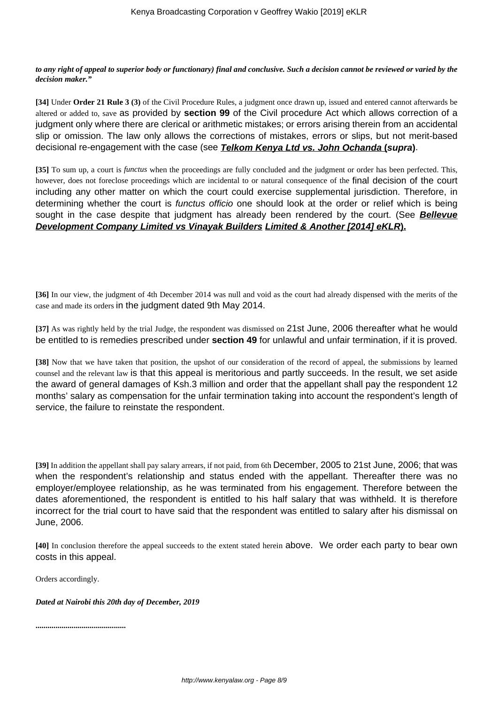## *to any right of appeal to superior body or functionary) final and conclusive. Such a decision cannot be reviewed or varied by the decision maker."*

**[34]** Under **Order 21 Rule 3 (3)** of the Civil Procedure Rules, a judgment once drawn up, issued and entered cannot afterwards be altered or added to, save as provided by **section 99** of the Civil procedure Act which allows correction of a judgment only where there are clerical or arithmetic mistakes; or errors arising therein from an accidental slip or omission. The law only allows the corrections of mistakes, errors or slips, but not merit-based decisional re-engagement with the case (see **Telkom Kenya Ltd vs. John Ochanda (supra)**.

**[35]** To sum up, a court is *functus* when the proceedings are fully concluded and the judgment or order has been perfected. This, however, does not foreclose proceedings which are incidental to or natural consequence of the final decision of the court including any other matter on which the court could exercise supplemental jurisdiction. Therefore, in determining whether the court is functus officio one should look at the order or relief which is being sought in the case despite that judgment has already been rendered by the court. (See **Bellevue Development Company Limited vs Vinayak Builders Limited & Another [2014] eKLR).**

**[36]** In our view, the judgment of 4th December 2014 was null and void as the court had already dispensed with the merits of the case and made its orders in the judgment dated 9th May 2014.

**[37]** As was rightly held by the trial Judge, the respondent was dismissed on 21st June, 2006 thereafter what he would be entitled to is remedies prescribed under **section 49** for unlawful and unfair termination, if it is proved.

**[38]** Now that we have taken that position, the upshot of our consideration of the record of appeal, the submissions by learned counsel and the relevant law is that this appeal is meritorious and partly succeeds. In the result, we set aside the award of general damages of Ksh.3 million and order that the appellant shall pay the respondent 12 months' salary as compensation for the unfair termination taking into account the respondent's length of service, the failure to reinstate the respondent.

**[39]** In addition the appellant shall pay salary arrears, if not paid, from 6th December, 2005 to 21st June, 2006; that was when the respondent's relationship and status ended with the appellant. Thereafter there was no employer/employee relationship, as he was terminated from his engagement. Therefore between the dates aforementioned, the respondent is entitled to his half salary that was withheld. It is therefore incorrect for the trial court to have said that the respondent was entitled to salary after his dismissal on June, 2006.

**[40]** In conclusion therefore the appeal succeeds to the extent stated herein above. We order each party to bear own costs in this appeal.

Orders accordingly.

*Dated at Nairobi this 20th day of December, 2019*

**.............................................**